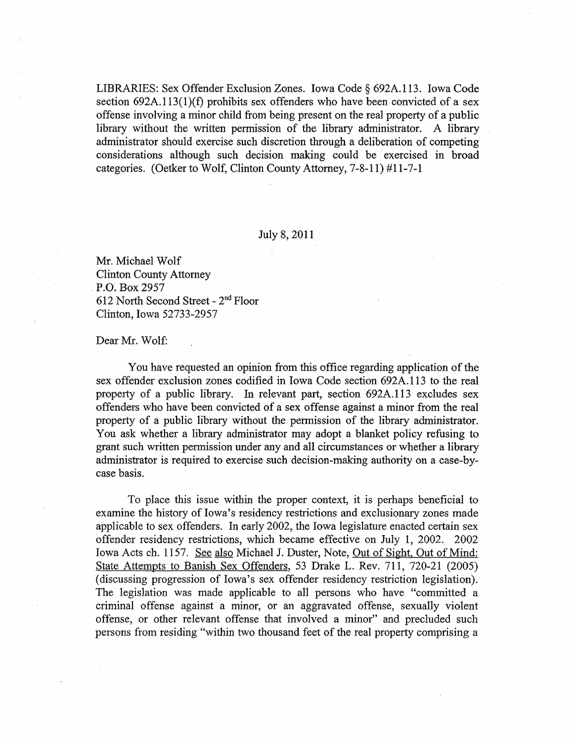LIBRARIES: Sex Offender Exclusion Zones. Iowa Code § 692A.113. Iowa Code section  $692A.113(1)(f)$  prohibits sex offenders who have been convicted of a sex offense involving a minor child from being present on the real property of a public library without the written permission of the library administrator. A library administrator should exercise such discretion through a deliberation of competing considerations although such decision making could be exercised in broad categories. (Oetker to Wolf, Clinton County Attorney, 7-8-11) #11-7-1

## July 8~ 2011

Mr. Michael Wolf Clinton County Attorney P.O', Box 2957 612 North Second Street - 2nd Floor Clinton, Iowa 52733-2957

## Dear Mr. Wolf:

You have requested an opinion from this office regarding application of the sex offender exclusion zones codified in Iowa Code section 692A.113 to the real property of a public library. In relevant part, section 692A.113 excludes sex offenders who have been convicted of a sex offense against a minor from the real property of a public library without the pennission of the library administrator. You ask whether a library administrator may adopt a blanket policy refusing to grant such written permission under any and all circumstances or whether a library administrator is required to exercise such decision-making authority on a case-bycase basis.

To place this issue within the proper context, it is perhaps beneficial to examine the history of Iowa's residency restrictions and exclusionary zones made applicable to sex offenders. In early 2002, the Iowa legislature enacted certain sex offender residency restrictions; which became effective on July 1, 2002. 2002 Iowa Acts eh. 1157. See also Michael J. Duster, Note, Out of Sight, Out of Mind: State Attempts to Banish Sex Offenders, 53 Drake L. Rev. 711, 720-21 (2005) (discussing progression of Iowa's sex offender residency restriction legislation). The legislation was made applicable to all persons who have "committed a criminal offense against a minor, or an aggravated offense, sexually violent offense, or other relevant offense that involved a minor" and precluded such persons from residing "within two thousand feet of the real property comprising a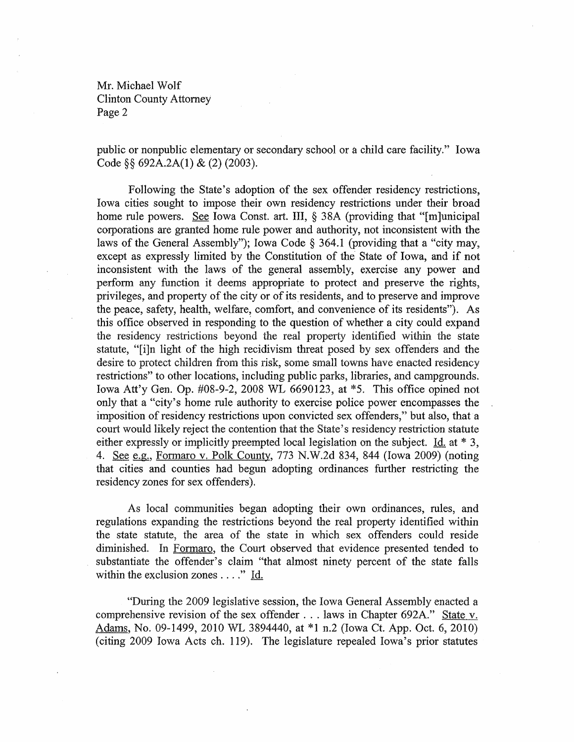public or nonpublic elementary or secondary school or a child care facility." Iowa Code §§ 692A.2A(1) & (2) (2003).

Following the State's adoption of the sex offender residency restrictions, Iowa cities sought to impose their own residency restrictions under their broad home rule powers. See Iowa Const. art. III, § 38A (providing that "[m]unicipal corporations are granted home rule power and authority, not inconsistent with the laws of the General Assembly"); Iowa Code § 364.1 (providing that a "city may, except as expressly limited by the Constitution of the State of Iowa, and if not inconsistent with the laws of the general assembly, exercise any power and perform any function it deems appropriate to protect and preserve the rights, privileges, and property of the city or of its residents, and to preserve and improve the peace, safety, health, welfare, comfort, and convenience of its residents"). As this office observed in respondin'g to the question of whether a city could expand the residency restrictions beyond the real property identified within the state statute, "[i]n light of the high recidivism threat posed by sex offenders and the desire to protect children from this risk, some small towns have enacted residency restrictions" to other locations, including public parks, libraries, and campgrounds. Iowa Att'y Gen. Op. #08-9-2, 2008 WL 6690123, at \*5. This office opined not only that a "city's home rule authority to exercise police power encompasses the imposition of residency restrictions upon convicted sex offenders," but also, that a court would likely reject the contention that the State's residency restriction statute either expressly or implicitly preempted local legislation on the subject. Id. at \* 3, 4. See e.g., Formaro v. Polk County, 773 N.W.2d 834, 844 (Iowa 2009) (noting that cities and counties had begun adopting ordinances further restricting the residency zones for sex offenders).

As local communities began adopting their own ordinances, rules, and regulations expanding the restrictions beyond the real property identified within the state statute, the area of the state in which sex offenders could reside diminished. In Formaro, the Court observed that evidence presented tended to substantiate the offender's claim "that almost ninety percent of the state falls within the exclusion zones . . . ." Id.

"During the 2009 legislative session, the Iowa General Assembly enacted a comprehensive revision of the sex offender ... laws in Chapter 692A." State v. Adams, No. 09-1499, 2010 WL 3894440, at \*1 n.2 (Iowa Ct. App. Oct. 6, 2010) (citing 2009 Iowa Acts ch. 119). The legislature repealed Iowa's prior statutes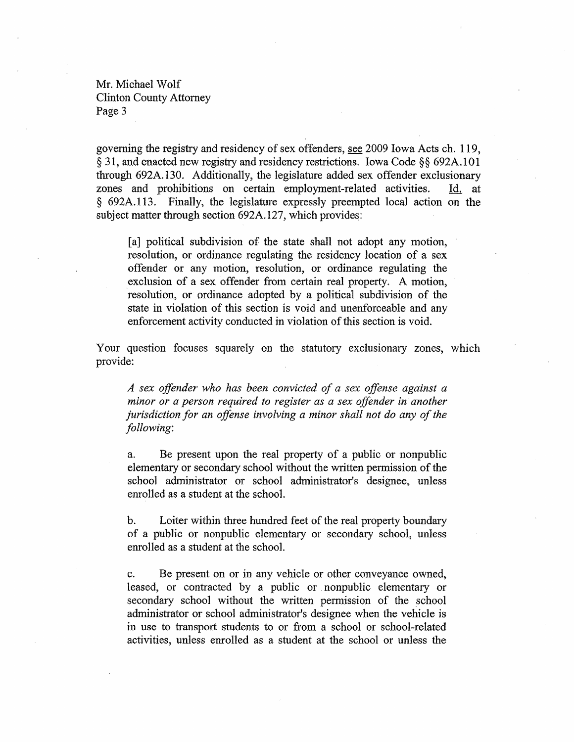governing the registry and residency of sex offenders, see 2009 Iowa Acts ch. 119, § 31, and enacted new registry and residency restrictions. Iowa Code §§ 692A.101 through 692A.130. Additionally, the legislature added sex offender exclusionary zones and prohibitions on certain employment-related activities. ld. at § 692A.113. Finally, the legislature expressly preempted local action on the subject matter through section 692A.127, which provides:

[a] political subdivision of the state shall not adopt any motion, resolution, or ordinance regulating the residency location of a sex offender or any motion, resolution, or ordinance regulating the exclusion of a sex offender from certain real property. A motion, resolution, or ordinance adopted by a political subdivision of the state in violation of this section is void and unenforceable and any enforcement activity conducted in violation of this section is void.

Your question focuses squarely on the statutory exclusionary zones, which provide:

*A sex offender who has been convicted of a sex offense against a minor or a person required to register as a sex offender in another jurisdiction for an offense involving a minor shall not do any of the following:* 

a. Be present upon the real property of a public or nonpublic elementary or secondary school without the written permission of the school administrator or school administrator's designee, unless enrolled as a student at the school.

b. Loiter within three hundred feet of the real property boundary of a public or nonpublic elementary or secondary school, unless enrolled as a student at the school.

c. Be present on or in any vehicle or other conveyance owned, leased, or contracted by a public or nonpublic elementary or secondary school without the written permission of the school administrator or school administrator's designee when the vehicle is in use to transport students to or from a school or school-related activities, unless enrolled as a student at the school or unless the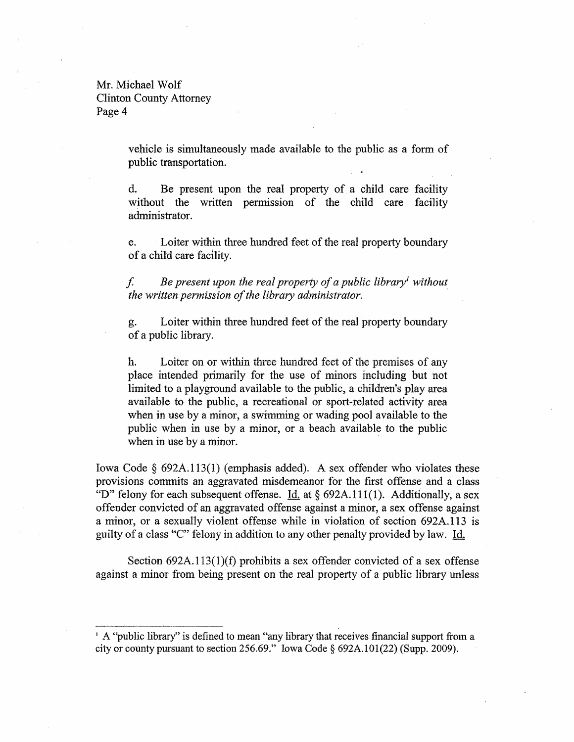> vehicle is simultaneously made available to the public as a fonn of public transportation.

> d. Be present upon the real property of a child care facility without the written permission of the child care facility administrator.

> e. . Loiter within three hundred feet of the real property boundary of a child care facility.

> f *Be present upon the real property of a public libraryl without the written permission of the library administrator. .*

> g. Loiter within three hundred feet of the real property boundary of a public library.

> h. Loiter on or within three hundred feet of the premises of any place intended primarily for the use of minors including but not limited to a playground available to the public, a children's play area available to the public, a recreational or sport-related activity area when in use by a minor, a swimming or wading pool available to the public when in use by a minor, or a beach available to the public when in use by a minor.

Iowa Code § 692A.113(1) (emphasis added). A sex offender who violates these provisions commits an aggravated misdemeanor for the first offense and a class "D" felony for each subsequent offense. Id. at  $\S$  692A.111(1). Additionally, a sex offender convicted of an aggravated offense against a minor, a sex offense against a minor, or a sexually violent offense while in violation of section 692A.113 is guilty of a class "C" felony in addition to any other penalty provided by law. Id.

Section  $692A.113(1)(f)$  prohibits a sex offender convicted of a sex offense against a minor from being present on the real property of a public library unless

<sup>&</sup>lt;sup>1</sup> A "public library" is defined to mean "any library that receives financial support from a city or county pursuant to section 256.69." Iowa Code  $\S 692A.101(22)$  (Supp. 2009).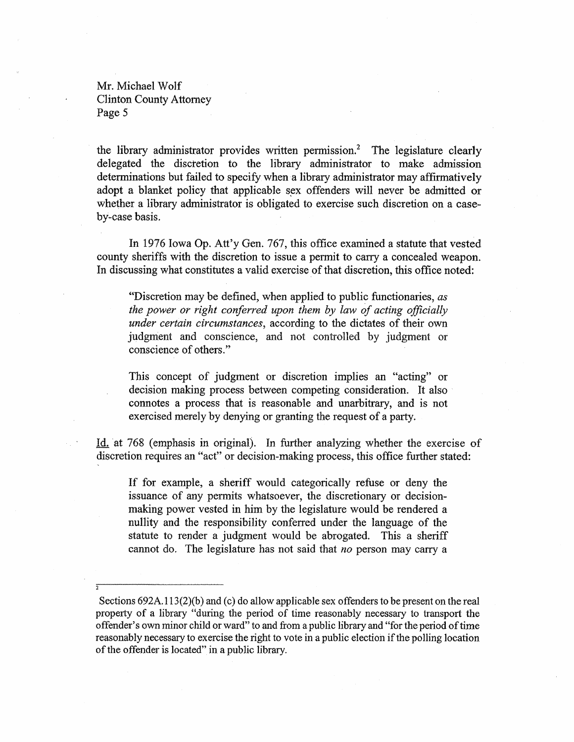the library administrator provides written permission.<sup>2</sup> The legislature clearly delegated the disctetion to the library administrator to make admission determinations but failed to specify when a library administrator may affirmatively adopt a blanket policy that applicable sex offenders will never be admitted or whether a library administrator is obligated to exercise such discretion on a caseby-case basis.

In 1976 Iowa Op. Att'y Gen. 767, this office examined a statute that vested county sheriffs with the discretion to issue a permit to carry a concealed weapon. In discussing what constitutes a valid exercise of that discretion, this office noted:

"Discretion may be defined, when applied to public functionaries, as *the power or right conferred upon them by law of acting officially under certain circumstances,* according to the dictates of their own judgment and conscience, and not controlled by judgment or conscience of others."

This concept of judgment or discretion implies an "acting" or decision making process between competing consideration. It also connotes a process that is reasonable and unarbitrary, and is not exercised merely by denying or granting the request of a party.

Id. at 768 (emphasis in original). In further analyzing whether the exercise of discretion requires an "act" or decision-making process, this office further stated:

If for example, a sheriff would categorically refuse or deny the issuance of any pennits whatsoever, the discretionary or decisionmaking power vested in him by the legislature would be rendered a nullity and the responsibility conferred under the language of the statute to render a judgment would be abrogated. This a sheriff cannot do. The legislature has not said that *no* person may carry a

Sections 692A.113(2)(b) and (c) do allow applicable sex offenders to be present on the real property of a library "during the period of time reasonably necessary to transport the offender's own minor child or ward" to and from a public library and "for the period of time reasonably necessary to exercise the right to vote in a public election if the polling location of the offender is located" in a public library.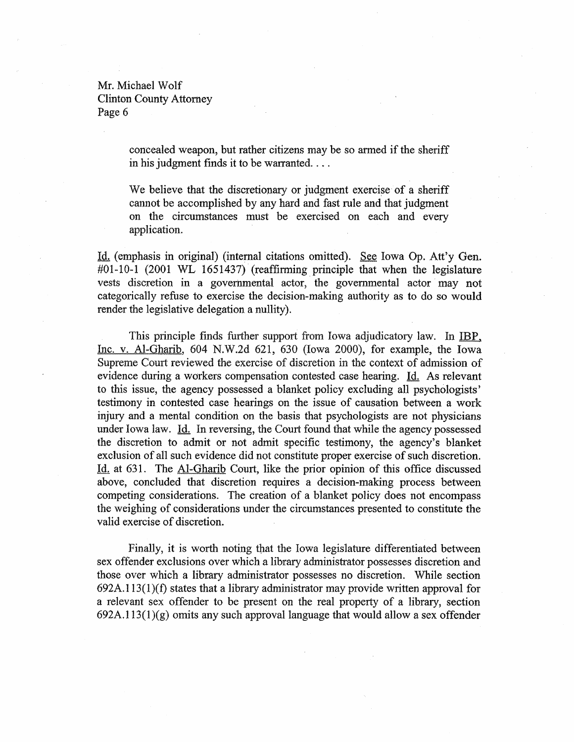> concealed weapon, but rather citizens may be so armed if the sheriff in his judgment finds it to be warranted....

> We believe that the discretionary or judgment exercise of a sheriff cannot be accomplished by any hard and fast rule and that judgment on the circumstances must be exercised on each and every application.

Id. (emphasis in original) (internal citations omitted). See Iowa Op. Att'y Gen. #01-10-1 (2001 WL 1651437) (reaffinning. principle that when the legislature vests discretion in a governmental actor, the governmental actor may not categorically refuse to exercise the decision-making authority as to do so would render the legislative delegation a nullity).

This principle finds further support from Iowa adjudicatory law. In IBP, Inc. v. Al~Gharib, 604 N.W.2d 621, 630 (Iowa 2000), for example, the Iowa Supreme Court reviewed the exercise of discretion in the context of admission of evidence during a workers compensation contested case hearing. Id. As relevant to this issue, the agency possessed a blanket policy excluding all psychologists' testimony in contested case hearings on the issue of causation between a work injury and a mental condition on the basis that psychologists are not physicians under Iowa law. Id. In reversing, the Court found that while the agency possessed the discretion to admit or not admit specific testimony, the agency's blanket exclusion of all such evidence did not constitute proper exercise of such discretion. Id. at 631. The Al-Gharib Court, like the prior opinion of this office discussed above, concluded that discretion requires a decision-making process between competing considerations. The creation of a blanket policy does not encompass the weighing of considerations under the circumstances presented to constitute the valid exercise of discretion. .

Finally, it is worth noting that the Iowa legislature differentiated between sex offender exclusions over which a library administrator possesses discretion and those over which a library administrator possesses no discretion. While section  $692A.113(1)(f)$  states that a library administrator may provide written approval for a relevant sex offender to be present on the real property of a library, section  $692A.113(1)(g)$  omits any such approval language that would allow a sex offender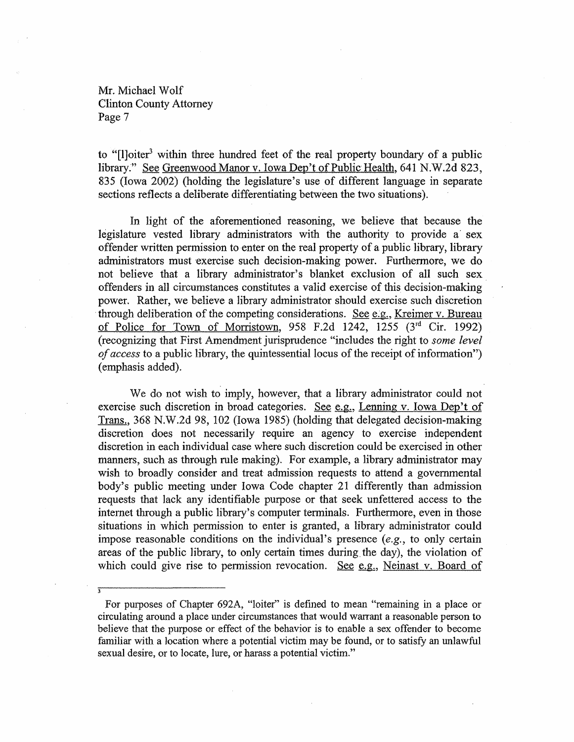to "[I]oiter<sup>3</sup> within three hundred feet of the real property boundary of a public library." See Greenwood Manor v. Iowa Dep't of Public Health, 641 N.W.2d 823, 835 (Iowa 2002) (holding the legislature's use of different language in separate sections reflects a deliberate differentiating between the two situations).

In light of the aforementioned reasoning, we believe that because the legislature vested library administrators with the authority to provide a sex offender written permission to enter on the real property of a public library, library administrators must exercise such decision-making power. Furthermore, we do not believe that a library administrator's blanket exclusion of all such sex. offenders in all circumstances constitutes a valid exercise of this decision-making power. Rather, we believe a library administrator should exercise such discretion through deliberation of the competing considerations. See e.g., Kreimer v. Bureau of Police for Town of Morristown, 958 F.2d 1242, 1255  $(3<sup>rd</sup>$  Cir. 1992) (recognizing that First Amendment jurisprudence "includes the right to *some level of access* to a public library, the quintessential locus of the receipt of information") (emphasis added).

We do not wish to imply, however, that a library administrator could not exercise such discretion in broad categories. See  $e.g.,$  Lenning v. Iowa Dep't of Trans.; 368 N.W.2d 98, 102 (Iowa 1985) (holding that delegated decision-making discretion does not necessarily require an agency to exercise independent discretion in each individual case where such discretion could be exercised in other manners, such as through rule making). For example, a library administrator may wish to broadly consider and treat admission requests to attend a governmental body's public meeting under Iowa Code chapter 21 differently than admission requests that lack any identifiable purpose or that seek unfettered access to the internet through a public library's computer terminals. Furthermore, even in those situations in which permission to enter is granted, a library administrator could impose reasonable conditions on the individual's presence (e.g., to only certain areas of the public library, to only certain times during, the day), the violation of which could give rise to permission revocation. See e.g., Neinast v. Board of

For purposes of Chapter 692A, "loiter" is defined to mean "remaining in a place or circulating around a place under circumstances that would warrant a reasonable person to believe that the purpose or effect of the behavior is to enable a sex offender to become familiar with a location where a potential victim may be found, or to satisfy an unlawful sexual desire, or to locate, lure, or harass a potential victim."